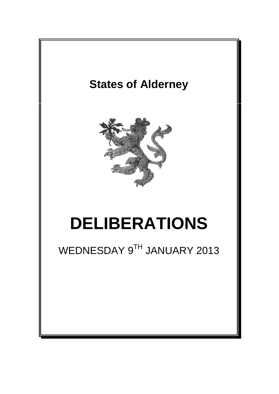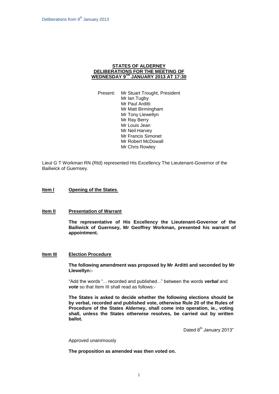## **STATES OF ALDERNEY DELIBERATIONS FOR THE MEETING OF WEDNESDAY 9 TH JANUARY 2013 AT 17:30**

Present: Mr Stuart Trought, President Mr Ian Tugby Mr Paul Arditti Mr Matt Birmingham Mr Tony Llewellyn Mr Ray Berry Mr Louis Jean Mr Neil Harvey Mr Francis Simonet Mr Robert McDowall Mr Chris Rowley

Lieut G T Workman RN (Rtd) represented His Excellency The Lieutenant-Governor of the Bailiwick of Guernsey.

## **Item l Opening of the States**.

#### **Item lI Presentation of Warrant**

**The representative of His Excellency the Lieutenant-Governor of the Bailiwick of Guernsey, Mr Geoffrey Workman, presented his warrant of appointment.**

### **Item III Election Procedure**

**The following amendment was proposed by Mr Arditti and seconded by Mr Llewellyn:-**

"Add the words "... recorded and published..." between the words *verbal* and *vote* so that Item III shall read as follows:-

**The States is asked to decide whether the following elections should be by verbal, recorded and published vote, otherwise Rule 20 of the Rules of Procedure of the States Alderney, shall come into operation, ie., voting shall, unless the States otherwise resolves, be carried out by written ballot.**

Dated 8<sup>th</sup> January 2013"

Approved unanimously

**The proposition as amended was then voted on.**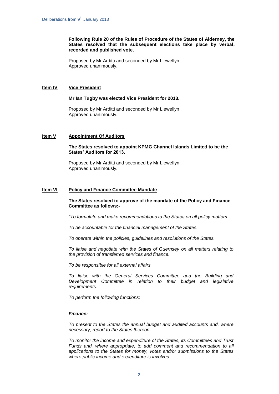**Following Rule 20 of the Rules of Procedure of the States of Alderney, the States resolved that the subsequent elections take place by verbal, recorded and published vote.**

Proposed by Mr Arditti and seconded by Mr Llewellyn Approved unanimously.

## **Item IV Vice President**

### **Mr Ian Tugby was elected Vice President for 2013.**

Proposed by Mr Arditti and seconded by Mr Llewellyn Approved unanimously.

# **Item V Appointment Of Auditors**

### **The States resolved to appoint KPMG Channel Islands Limited to be the States' Auditors for 2013.**

Proposed by Mr Arditti and seconded by Mr Llewellyn Approved unanimously.

## **Item VI Policy and Finance Committee Mandate**

## **The States resolved to approve of the mandate of the Policy and Finance Committee as follows:-**

*"To formulate and make recommendations to the States on all policy matters.*

*To be accountable for the financial management of the States.*

*To operate within the policies, guidelines and resolutions of the States.*

*To liaise and negotiate with the States of Guernsey on all matters relating to the provision of transferred services and finance.*

*To be responsible for all external affairs.*

*To liaise with the General Services Committee and the Building and Development Committee in relation to their budget and legislative requirements.*

*To perform the following functions:*

## *Finance:*

*To present to the States the annual budget and audited accounts and, where necessary, report to the States thereon.*

*To monitor the income and expenditure of the States, its Committees and Trust Funds and, where appropriate, to add comment and recommendation to all applications to the States for money, votes and/or submissions to the States where public income and expenditure is involved.*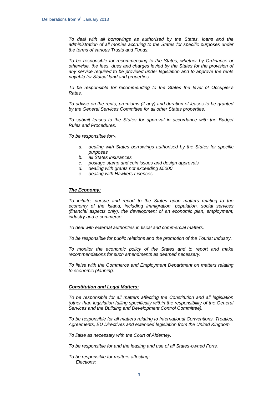*To deal with all borrowings as authorised by the States, loans and the administration of all monies accruing to the States for specific purposes under the terms of various Trusts and Funds.*

*To be responsible for recommending to the States, whether by Ordinance or otherwise, the fees, dues and charges levied by the States for the provision of any service required to be provided under legislation and to approve the rents payable for States' land and properties.* 

*To be responsible for recommending to the States the level of Occupier's Rates.*

*To advise on the rents, premiums (if any) and duration of leases to be granted by the General Services Committee for all other States properties.*

*To submit leases to the States for approval in accordance with the Budget Rules and Procedures.*

*To be responsible for:-.*

- *a. dealing with States borrowings authorised by the States for specific purposes*
- *b. all States insurances*
- *c. postage stamp and coin issues and design approvals*
- *d. dealing with grants not exceeding £5000*
- *e. dealing with Hawkers Licences.*

### *The Economy:*

*To initiate, pursue and report to the States upon matters relating to the economy of the Island, including immigration, population, social services (financial aspects only), the development of an economic plan, employment, industry and e-commerce.*

*To deal with external authorities in fiscal and commercial matters.* 

*To be responsible for public relations and the promotion of the Tourist Industry.*

*To monitor the economic policy of the States and to report and make recommendations for such amendments as deemed necessary.*

*To liaise with the Commerce and Employment Department on matters relating to economic planning.*

## *Constitution and Legal Matters:*

*To be responsible for all matters affecting the Constitution and all legislation (other than legislation falling specifically within the responsibility of the General Services and the Building and Development Control Committee).* 

*To be responsible for all matters relating to International Conventions, Treaties, Agreements, EU Directives and extended legislation from the United Kingdom.*

*To liaise as necessary with the Court of Alderney.*

*To be responsible for and the leasing and use of all States-owned Forts.*

*To be responsible for matters affecting:- Elections;*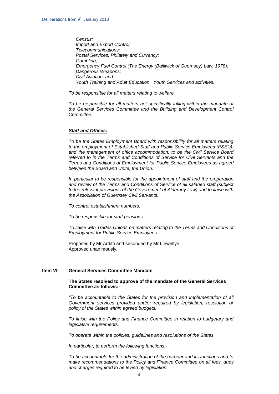*Census; Import and Export Control; Telecommunications; Postal Services, Philately and Currency; Gambling; Emergency Fuel Control (The Energy (Bailiwick of Guernsey) Law, 1978); Dangerous Weapons; Civil Aviation; and Youth Training and Adult Education. Youth Services and activities.*

*To be responsible for all matters relating to welfare.*

*To be responsible for all matters not specifically falling within the mandate of the General Services Committee and the Building and Development Control Committee.*

### *Staff and Offices:*

*To be the States Employment Board with responsibility for all matters relating to the employment of Established Staff and Public Service Employees (PSE's); and the management of office accommodation; to be the Civil Service Board referred to in the Terms and Conditions of Service for Civil Servants and the Terms and Conditions of Employment for Public Service Employees as agreed between the Board and Unite, the Union.* 

*In particular to be responsible for the appointment of staff and the preparation and review of the Terms and Conditions of Service of all salaried staff (subject to the relevant provisions of the Government of Alderney Law) and to liaise with the Association of Guernsey Civil Servants.*

*To control establishment numbers.*

*To be responsible for staff pensions.*

*To liaise with Trades Unions on matters relating to the Terms and Conditions of Employment for Public Service Employees."*

Proposed by Mr Arditti and seconded by Mr Llewellyn Approved unanimously.

## **Item VIl General Services Committee Mandate**

### **The States resolved to approve of the mandate of the General Services Committee as follows:-**

*"To be accountable to the States for the provision and implementation of all Government services provided and/or required by legislation, resolution or policy of the States within agreed budgets.*

*To liaise with the Policy and Finance Committee in relation to budgetary and legislative requirements.*

*To operate within the policies, guidelines and resolutions of the States.*

*In particular, to perform the following functions:-*

*To be accountable for the administration of the harbour and its functions and to make recommendations to the Policy and Finance Committee on all fees, dues and charges required to be levied by legislation.*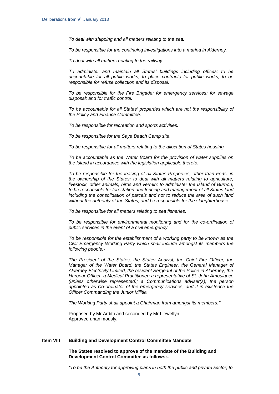*To deal with shipping and all matters relating to the sea.*

*To be responsible for the continuing investigations into a marina in Alderney.*

*To deal with all matters relating to the railway.*

*To administer and maintain all States' buildings including offices; to be accountable for all public works; to place contracts for public works; to be responsible for refuse collection and its disposal.*

*To be responsible for the Fire Brigade; for emergency services; for sewage disposal; and for traffic control.*

*To be accountable for all States' properties which are not the responsibility of the Policy and Finance Committee.* 

*To be responsible for recreation and sports activities.* 

*To be responsible for the Saye Beach Camp site.*

*To be responsible for all matters relating to the allocation of States housing.*

*To be accountable as the Water Board for the provision of water supplies on the Island in accordance with the legislation applicable thereto.*

*To be responsible for the leasing of all States Properties, other than Forts, in the ownership of the States; to deal with all matters relating to agriculture, livestock, other animals, birds and vermin; to administer the Island of Burhou; to be responsible for forestation and fencing and management of all States land including the consolidation of parcels and not to reduce the area of such land without the authority of the States; and be responsible for the slaughterhouse.*

*To be responsible for all matters relating to sea fisheries.*

*To be responsible for environmental monitoring and for the co-ordination of public services in the event of a civil emergency.* 

*To be responsible for the establishment of a working party to be known as the Civil Emergency Working Party which shall include amongst its members the following people:-*

*The President of the States, the States Analyst, the Chief Fire Officer, the Manager of the Water Board, the States Engineer, the General Manager of Alderney Electricity Limited, the resident Sergeant of the Police in Alderney, the Harbour Officer, a Medical Practitioner; a representative of St. John Ambulance (unless otherwise represented); a Communications adviser(s); the person appointed as Co-ordinator of the emergency services, and if in existence the Officer Commanding the Junior Militia.*

*The Working Party shall appoint a Chairman from amongst its members."*

Proposed by Mr Arditti and seconded by Mr Llewellyn Approved unanimously.

# **Item VIII Building and Development Control Committee Mandate**

### **The States resolved to approve of the mandate of the Building and Development Control Committee as follows:-**

*"To be the Authority for approving plans in both the public and private sector; to*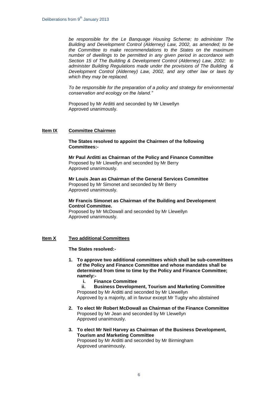*be responsible for the Le Banquage Housing Scheme; to administer The Building and Development Control (Alderney) Law, 2002, as amended; to be the Committee to make recommendations to the States on the maximum number of dwellings to be permitted in any given period in accordance with Section 15 of The Building & Development Control (Alderney) Law, 2002; to administer Building Regulations made under the provisions of The Building & Development Control (Alderney) Law, 2002, and any other law or laws by which they may be replaced.*

*To be responsible for the preparation of a policy and strategy for environmental conservation and ecology on the Island."*

Proposed by Mr Arditti and seconded by Mr Llewellyn Approved unanimously.

# **Item IX Committee Chairmen**

**The States resolved to appoint the Chairmen of the following Committees:-**

**Mr Paul Arditti as Chairman of the Policy and Finance Committee** Proposed by Mr Llewellyn and seconded by Mr Berry Approved unanimously.

**Mr Louis Jean as Chairman of the General Services Committee** Proposed by Mr Simonet and seconded by Mr Berry Approved unanimously.

## **Mr Francis Simonet as Chairman of the Building and Development Control Committee.**

Proposed by Mr McDowall and seconded by Mr Llewellyn Approved unanimously.

# **Item X Two additional Committees**

**The States resolved:-**

- **1. To approve two additional committees which shall be sub-committees of the Policy and Finance Committee and whose mandates shall be determined from time to time by the Policy and Finance Committee; namely:**
	- **i. Finance Committee**

**ii. Business Development, Tourism and Marketing Committee** Proposed by Mr Arditti and seconded by Mr Llewellyn Approved by a majority, all in favour except Mr Tugby who abstained

- **2. To elect Mr Robert McDowall as Chairman of the Finance Committee** Proposed by Mr Jean and seconded by Mr Llewellyn Approved unanimously.
- **3. To elect Mr Neil Harvey as Chairman of the Business Development, Tourism and Marketing Committee** Proposed by Mr Arditti and seconded by Mr Birmingham Approved unanimously.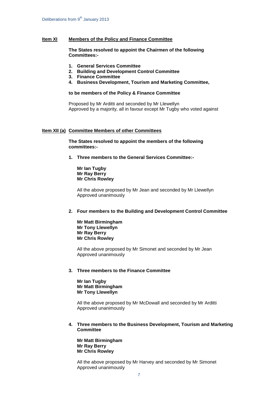### **Item XI Members of the Policy and Finance Committee**

**The States resolved to appoint the Chairmen of the following Committees:-**

- **1. General Services Committee**
- **2. Building and Development Control Committee**
- **3. Finance Committee**
- **4. Business Development, Tourism and Marketing Committee,**

### **to be members of the Policy & Finance Committee**

Proposed by Mr Arditti and seconded by Mr Llewellyn Approved by a majority, all in favour except Mr Tugby who voted against

## **Item XII (a) Committee Members of other Committees**

**The States resolved to appoint the members of the following committees:-**

**1. Three members to the General Services Committee:-**

**Mr Ian Tugby Mr Ray Berry Mr Chris Rowley**

All the above proposed by Mr Jean and seconded by Mr Llewellyn Approved unanimously

#### **2. Four members to the Building and Development Control Committee**

**Mr Matt Birmingham Mr Tony Llewellyn Mr Ray Berry Mr Chris Rowley**

All the above proposed by Mr Simonet and seconded by Mr Jean Approved unanimously

### **3. Three members to the Finance Committee**

**Mr Ian Tugby Mr Matt Birmingham Mr Tony Llewellyn**

All the above proposed by Mr McDowall and seconded by Mr Arditti Approved unanimously

**4. Three members to the Business Development, Tourism and Marketing Committee**

**Mr Matt Birmingham Mr Ray Berry Mr Chris Rowley**

All the above proposed by Mr Harvey and seconded by Mr Simonet Approved unanimously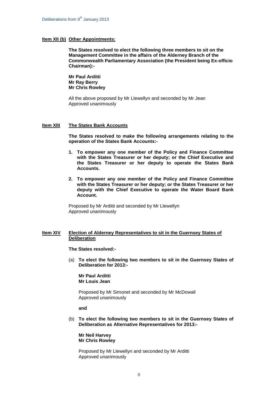### **Item XII (b) Other Appointments:**

**The States resolved to elect the following three members to sit on the Management Committee in the affairs of the Alderney Branch of the Commonwealth Parliamentary Association (the President being Ex-officio Chairman):-**

**Mr Paul Arditti Mr Ray Berry Mr Chris Rowley**

All the above proposed by Mr Llewellyn and seconded by Mr Jean Approved unanimously

#### **Item XlII The States Bank Accounts**

**The States resolved to make the following arrangements relating to the operation of the States Bank Accounts:-**

- **1. To empower any one member of the Policy and Finance Committee with the States Treasurer or her deputy; or the Chief Executive and the States Treasurer or her deputy to operate the States Bank Accounts.**
- **2. To empower any one member of the Policy and Finance Committee with the States Treasurer or her deputy; or the States Treasurer or her deputy with the Chief Executive to operate the Water Board Bank Account.**

Proposed by Mr Arditti and seconded by Mr Llewellyn Approved unanimously

## **Item XIV Election of Alderney Representatives to sit in the Guernsey States of Deliberation**

**The States resolved:-**

(a) **To elect the following two members to sit in the Guernsey States of Deliberation for 2013:-**

**Mr Paul Arditti Mr Louis Jean**

Proposed by Mr Simonet and seconded by Mr McDowall Approved unanimously

**and**

(b) **To elect the following two members to sit in the Guernsey States of Deliberation as Alternative Representatives for 2013:-**

**Mr Neil Harvey Mr Chris Rowley**

Proposed by Mr Llewellyn and seconded by Mr Arditti Approved unanimously